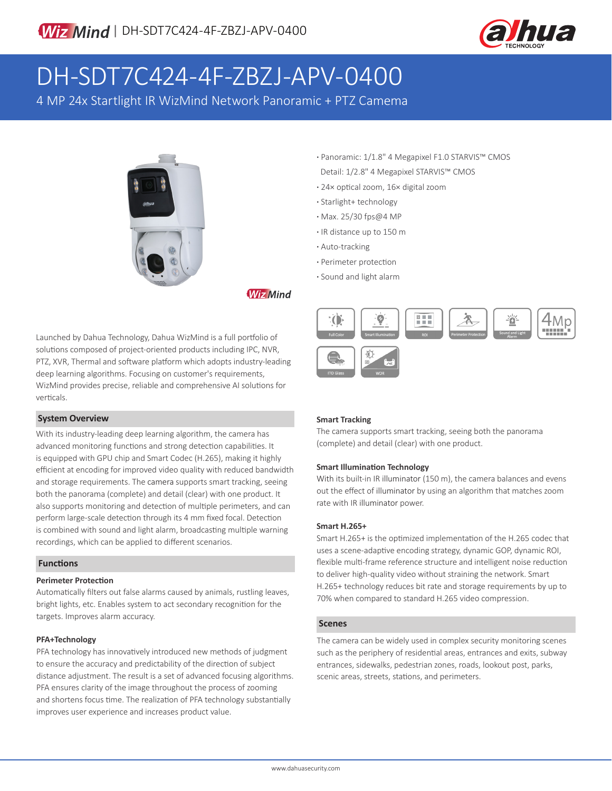

## DH-SDT7C424-4F-ZBZJ-APV-0400

4 MP 24x Startlight IR WizMind Network Panoramic + PTZ Camema



**·** Panoramic: 1/1.8" 4 Megapixel F1.0 STARVIS™ CMOS Detail: 1/2.8" 4 Megapixel STARVIS™ CMOS

- **·** 24× optical zoom, 16× digital zoom
- **·** Starlight+ technology
- **·** Max. 25/30 fps@4 MP
- **·** IR distance up to 150 m
- **·** Auto-tracking
- **·** Perimeter protection
- **·** Sound and light alarm

#### **Wiz Mind**

Launched by Dahua Technology, Dahua WizMind is a full portfolio of solutions composed of project-oriented products including IPC, NVR, PTZ, XVR, Thermal and software platform which adopts industry-leading deep learning algorithms. Focusing on customer's requirements, WizMind provides precise, reliable and comprehensive AI solutions for verticals.

#### **System Overview**

With its industry-leading deep learning algorithm, the camera has advanced monitoring functions and strong detection capabilities. It is equipped with GPU chip and Smart Codec (H.265), making it highly efficient at encoding for improved video quality with reduced bandwidth and storage requirements. The camera supports smart tracking, seeing both the panorama (complete) and detail (clear) with one product. It also supports monitoring and detection of multiple perimeters, and can perform large-scale detection through its 4 mm fixed focal. Detection is combined with sound and light alarm, broadcasting multiple warning recordings, which can be applied to different scenarios.

#### **Functions**

#### **Perimeter Protection**

Automatically filters out false alarms caused by animals, rustling leaves, bright lights, etc. Enables system to act secondary recognition for the targets. Improves alarm accuracy.

#### **PFA+Technology**

PFA technology has innovatively introduced new methods of judgment to ensure the accuracy and predictability of the direction of subject distance adjustment. The result is a set of advanced focusing algorithms. PFA ensures clarity of the image throughout the process of zooming and shortens focus time. The realization of PFA technology substantially improves user experience and increases product value.



#### **Smart Tracking**

The camera supports smart tracking, seeing both the panorama (complete) and detail (clear) with one product.

#### **Smart Illumination Technology**

With its built-in IR illuminator (150 m), the camera balances and evens out the effect of illuminator by using an algorithm that matches zoom rate with IR illuminator power.

#### **Smart H.265+**

Smart H.265+ is the optimized implementation of the H.265 codec that uses a scene-adaptive encoding strategy, dynamic GOP, dynamic ROI, flexible multi-frame reference structure and intelligent noise reduction to deliver high-quality video without straining the network. Smart H.265+ technology reduces bit rate and storage requirements by up to 70% when compared to standard H.265 video compression.

#### **Scenes**

The camera can be widely used in complex security monitoring scenes such as the periphery of residential areas, entrances and exits, subway entrances, sidewalks, pedestrian zones, roads, lookout post, parks, scenic areas, streets, stations, and perimeters.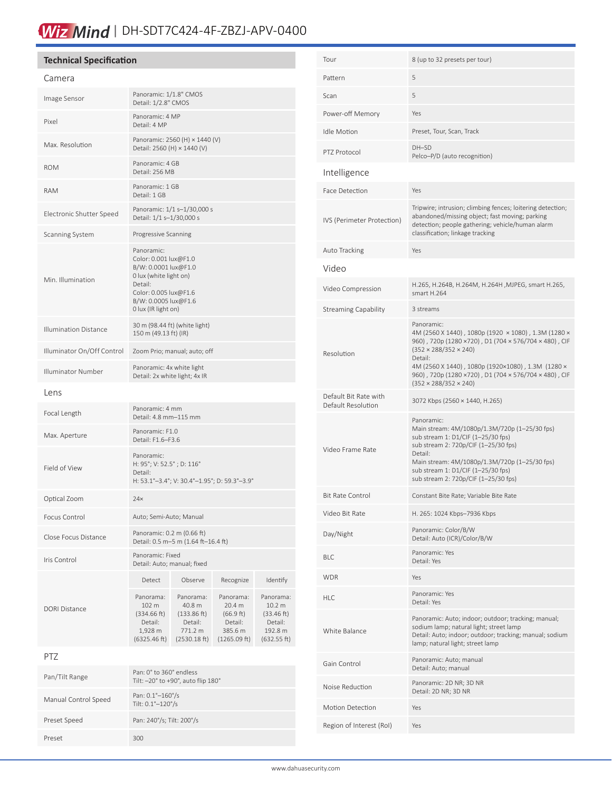## Wiz Mind | DH-SDT7C424-4F-ZBZJ-APV-0400

#### **Technical Specification**

| Camera                       |                                                                                                                                                                          |                                                                          |                                                                        |                                                                                   |
|------------------------------|--------------------------------------------------------------------------------------------------------------------------------------------------------------------------|--------------------------------------------------------------------------|------------------------------------------------------------------------|-----------------------------------------------------------------------------------|
| Image Sensor                 | Panoramic: 1/1.8" CMOS<br>Detail: 1/2.8" CMOS                                                                                                                            |                                                                          |                                                                        |                                                                                   |
| Pixel                        | Panoramic: 4 MP<br>Detail: 4 MP                                                                                                                                          |                                                                          |                                                                        |                                                                                   |
| Max. Resolution              | Panoramic: 2560 (H) × 1440 (V)<br>Detail: 2560 (H) × 1440 (V)                                                                                                            |                                                                          |                                                                        |                                                                                   |
| <b>ROM</b>                   | Panoramic: 4 GB<br>Detail: 256 MB                                                                                                                                        |                                                                          |                                                                        |                                                                                   |
| RAM                          | Panoramic: 1 GB<br>Detail: 1 GB                                                                                                                                          |                                                                          |                                                                        |                                                                                   |
| Electronic Shutter Speed     | Panoramic: 1/1 s-1/30,000 s<br>Detail: 1/1 s-1/30,000 s                                                                                                                  |                                                                          |                                                                        |                                                                                   |
| Scanning System              | Progressive Scanning                                                                                                                                                     |                                                                          |                                                                        |                                                                                   |
| Min. Illumination            | Panoramic:<br>Color: 0.001 lux@F1.0<br>B/W: 0.0001 lux@F1.0<br>0 lux (white light on)<br>Detail:<br>Color: 0.005 lux@F1.6<br>B/W: 0.0005 lux@F1.6<br>0 lux (IR light on) |                                                                          |                                                                        |                                                                                   |
| <b>Illumination Distance</b> | 30 m (98.44 ft) (white light)<br>150 m (49.13 ft) (IR)                                                                                                                   |                                                                          |                                                                        |                                                                                   |
| Illuminator On/Off Control   | Zoom Prio; manual; auto; off                                                                                                                                             |                                                                          |                                                                        |                                                                                   |
| Illuminator Number           | Panoramic: 4x white light<br>Detail: 2x white light; 4x IR                                                                                                               |                                                                          |                                                                        |                                                                                   |
| Lens                         |                                                                                                                                                                          |                                                                          |                                                                        |                                                                                   |
| Focal Length                 | Panoramic: 4 mm<br>Detail: 4.8 mm-115 mm                                                                                                                                 |                                                                          |                                                                        |                                                                                   |
| Max. Aperture                | Panoramic: F1.0<br>Detail: F1.6-F3.6                                                                                                                                     |                                                                          |                                                                        |                                                                                   |
| Field of View                | Panoramic:<br>H: 95°; V: 52.5°; D: 116°<br>Detail:<br>H: 53.1°-3.4°; V: 30.4°-1.95°; D: 59.3°-3.9°                                                                       |                                                                          |                                                                        |                                                                                   |
| Optical Zoom                 | 24x                                                                                                                                                                      |                                                                          |                                                                        |                                                                                   |
| Focus Control                | Auto; Semi-Auto; Manual                                                                                                                                                  |                                                                          |                                                                        |                                                                                   |
| Close Focus Distance         | Panoramic: 0.2 m (0.66 ft)<br>Detail: 0.5 m-5 m (1.64 ft-16.4 ft)                                                                                                        |                                                                          |                                                                        |                                                                                   |
| Iris Control                 | Panoramic: Fixed<br>Detail: Auto; manual; fixed                                                                                                                          |                                                                          |                                                                        |                                                                                   |
|                              | <b>Detect</b>                                                                                                                                                            | Observe                                                                  | Recognize                                                              | Identify                                                                          |
| <b>DORI Distance</b>         | Panorama:<br>102 m<br>(334.66 ft)<br>Detail:<br>1,928 m<br>(6325.46 ft)                                                                                                  | Panorama:<br>40.8 m<br>(133.86 ft)<br>Detail:<br>771.2 m<br>(2530.18 ft) | Panorama:<br>20.4 m<br>(66.9 ft)<br>Detail:<br>385.6 m<br>(1265.09 ft) | Panorama:<br>10.2 <sub>m</sub><br>(33.46 ft)<br>Detail:<br>192.8 m<br>(632.55 ft) |
| PTZ                          |                                                                                                                                                                          |                                                                          |                                                                        |                                                                                   |
| Pan/Tilt Range               | Pan: 0° to 360° endless<br>Tilt: -20° to +90°, auto flip 180°                                                                                                            |                                                                          |                                                                        |                                                                                   |
| Manual Control Speed         | Pan: 0.1°-160°/s<br>Tilt: 0.1°-120°/s                                                                                                                                    |                                                                          |                                                                        |                                                                                   |

Preset Speed Pan: 240°/s; Tilt: 200°/s

Preset 300

| Tour                                        | 8 (up to 32 presets per tour)                                                                                                                                                                                                                                                                                             |
|---------------------------------------------|---------------------------------------------------------------------------------------------------------------------------------------------------------------------------------------------------------------------------------------------------------------------------------------------------------------------------|
| Pattern                                     | 5                                                                                                                                                                                                                                                                                                                         |
| Scan                                        | 5                                                                                                                                                                                                                                                                                                                         |
| Power-off Memory                            | Yes                                                                                                                                                                                                                                                                                                                       |
| Idle Motion                                 | Preset, Tour, Scan, Track                                                                                                                                                                                                                                                                                                 |
| PTZ Protocol                                | DH-SD<br>Pelco-P/D (auto recognition)                                                                                                                                                                                                                                                                                     |
| Intelligence                                |                                                                                                                                                                                                                                                                                                                           |
| Face Detection                              | Yes                                                                                                                                                                                                                                                                                                                       |
| IVS (Perimeter Protection)                  | Tripwire; intrusion; climbing fences; loitering detection;<br>abandoned/missing object; fast moving; parking<br>detection; people gathering; vehicle/human alarm<br>classification; linkage tracking                                                                                                                      |
| Auto Tracking                               | Yes                                                                                                                                                                                                                                                                                                                       |
| Video                                       |                                                                                                                                                                                                                                                                                                                           |
| Video Compression                           | H.265, H.264B, H.264M, H.264H ,MJPEG, smart H.265,<br>smart H.264                                                                                                                                                                                                                                                         |
| <b>Streaming Capability</b>                 | 3 streams                                                                                                                                                                                                                                                                                                                 |
| Resolution                                  | Panoramic:<br>4M (2560 X 1440), 1080p (1920 × 1080), 1.3M (1280 ×<br>960), 720p (1280×720), D1 (704×576/704×480), CIF<br>$(352 \times 288/352 \times 240)$<br>Detail:<br>4M (2560 X 1440), 1080p (1920×1080), 1.3M (1280 ×<br>960), 720p (1280 × 720), D1 (704 × 576/704 × 480), CIF<br>$(352 \times 288/352 \times 240)$ |
| Default Bit Rate with<br>Default Resolution | 3072 Kbps (2560 × 1440, H.265)                                                                                                                                                                                                                                                                                            |
| Video Frame Rate                            | Panoramic:<br>Main stream: 4M/1080p/1.3M/720p (1-25/30 fps)<br>sub stream 1: D1/CIF (1-25/30 fps)<br>sub stream 2: 720p/CIF (1-25/30 fps)<br>Detail:<br>Main stream: 4M/1080p/1.3M/720p (1-25/30 fps)<br>sub stream 1: D1/CIF (1-25/30 fps)<br>sub stream 2: 720p/CIF (1-25/30 fps)                                       |
| <b>Bit Rate Control</b>                     | Constant Bite Rate; Variable Bite Rate                                                                                                                                                                                                                                                                                    |
| Video Bit Rate                              | H. 265: 1024 Kbps-7936 Kbps                                                                                                                                                                                                                                                                                               |
| Day/Night                                   | Panoramic: Color/B/W<br>Detail: Auto (ICR)/Color/B/W                                                                                                                                                                                                                                                                      |
| <b>BLC</b>                                  | Panoramic: Yes<br>Detail: Yes                                                                                                                                                                                                                                                                                             |
| <b>WDR</b>                                  | Yes                                                                                                                                                                                                                                                                                                                       |
| <b>HLC</b>                                  | Panoramic: Yes<br>Detail: Yes                                                                                                                                                                                                                                                                                             |
| White Balance                               | Panoramic: Auto; indoor; outdoor; tracking; manual;<br>sodium lamp; natural light; street lamp<br>Detail: Auto; indoor; outdoor; tracking; manual; sodium<br>lamp; natural light; street lamp                                                                                                                             |
| Gain Control                                | Panoramic: Auto; manual<br>Detail: Auto; manual                                                                                                                                                                                                                                                                           |
| Noise Reduction                             | Panoramic: 2D NR; 3D NR<br>Detail: 2D NR; 3D NR                                                                                                                                                                                                                                                                           |
| Motion Detection                            | Yes                                                                                                                                                                                                                                                                                                                       |
| Region of Interest (RoI)                    | Yes                                                                                                                                                                                                                                                                                                                       |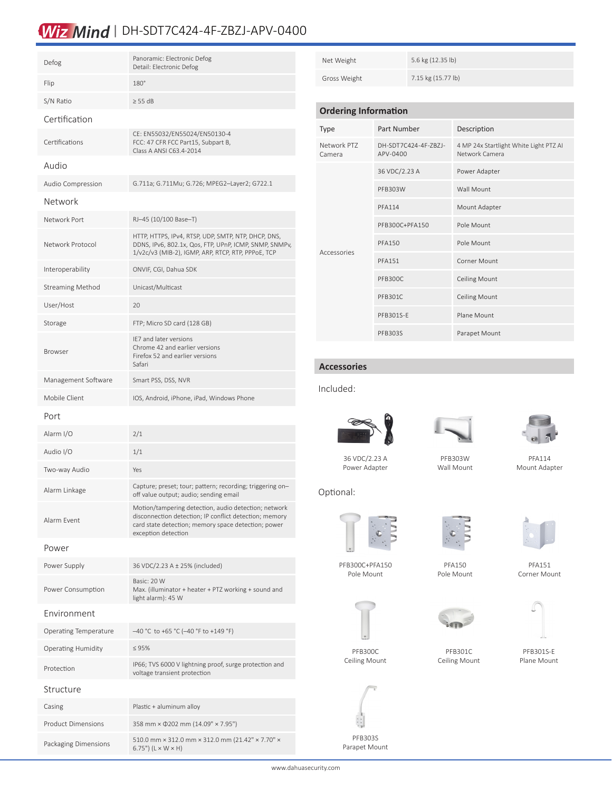## Wiz Mind | DH-SDT7C424-4F-ZBZJ-APV-0400

| Defog                     | Panoramic: Electronic Defog<br>Detail: Electronic Defog                                                                                                                                      |
|---------------------------|----------------------------------------------------------------------------------------------------------------------------------------------------------------------------------------------|
| Flip                      | $180^\circ$                                                                                                                                                                                  |
| S/N Ratio                 | $\geq$ 55 dB                                                                                                                                                                                 |
| Certification             |                                                                                                                                                                                              |
| Certifications            | CE: EN55032/EN55024/EN50130-4<br>FCC: 47 CFR FCC Part15, Subpart B,<br>Class A ANSI C63.4-2014                                                                                               |
| Audio                     |                                                                                                                                                                                              |
| Audio Compression         | G.711a; G.711Mu; G.726; MPEG2-Layer2; G722.1                                                                                                                                                 |
| Network                   |                                                                                                                                                                                              |
| Network Port              | RJ-45 (10/100 Base-T)                                                                                                                                                                        |
| Network Protocol          | HTTP, HTTPS, IPv4, RTSP, UDP, SMTP, NTP, DHCP, DNS,<br>DDNS, IPv6, 802.1x, Qos, FTP, UPnP, ICMP, SNMP, SNMPv,<br>1/v2c/v3 (MIB-2), IGMP, ARP, RTCP, RTP, PPPoE, TCP                          |
| Interoperability          | ONVIF, CGI, Dahua SDK                                                                                                                                                                        |
| <b>Streaming Method</b>   | Unicast/Multicast                                                                                                                                                                            |
| User/Host                 | 20                                                                                                                                                                                           |
| Storage                   | FTP; Micro SD card (128 GB)                                                                                                                                                                  |
| <b>Browser</b>            | IE7 and later versions<br>Chrome 42 and earlier versions<br>Firefox 52 and earlier versions<br>Safari                                                                                        |
| Management Software       | Smart PSS, DSS, NVR                                                                                                                                                                          |
| Mobile Client             | IOS, Android, iPhone, iPad, Windows Phone                                                                                                                                                    |
| Port                      |                                                                                                                                                                                              |
| Alarm I/O                 | 2/1                                                                                                                                                                                          |
| Audio I/O                 | 1/1                                                                                                                                                                                          |
| Two-way Audio             | Yes                                                                                                                                                                                          |
| Alarm Linkage             | Capture; preset; tour; pattern; recording; triggering on-<br>off value output; audio; sending email                                                                                          |
| Alarm Event               | Motion/tampering detection, audio detection; network<br>disconnection detection; IP conflict detection; memory<br>card state detection; memory space detection; power<br>exception detection |
| Power                     |                                                                                                                                                                                              |
| Power Supply              | 36 VDC/2.23 A ± 25% (included)                                                                                                                                                               |
| Power Consumption         | Basic: 20 W<br>Max. (illuminator + heater + PTZ working + sound and<br>light alarm): 45 W                                                                                                    |
| Environment               |                                                                                                                                                                                              |
| Operating Temperature     | $-40$ °C to +65 °C (-40 °F to +149 °F)                                                                                                                                                       |
| <b>Operating Humidity</b> | $\leq 95\%$                                                                                                                                                                                  |
| Protection                | IP66; TVS 6000 V lightning proof, surge protection and<br>voltage transient protection                                                                                                       |
| Structure                 |                                                                                                                                                                                              |
| Casing                    | Plastic + aluminum alloy                                                                                                                                                                     |
| <b>Product Dimensions</b> | 358 mm × 0202 mm (14.09" × 7.95")                                                                                                                                                            |
| Packaging Dimensions      | 510.0 mm × 312.0 mm × 312.0 mm (21.42" × 7.70" ×<br>$675"$ $(1 \times 11 \times 11)$                                                                                                         |

6.75") ( $L \times W \times H$ )

| Net Weight                  |             | 5.6 kg (12.35 lb)    |                                                          |  |
|-----------------------------|-------------|----------------------|----------------------------------------------------------|--|
| Gross Weight                |             | 7.15 kg (15.77 lb)   |                                                          |  |
|                             |             |                      |                                                          |  |
| <b>Ordering Information</b> |             |                      |                                                          |  |
| <b>Type</b>                 | Part Number |                      | Description                                              |  |
| Network PT7<br>Camera       | APV-0400    | DH-SDT7C424-4F-7B7J- | 4 MP 24x Startlight White Light PTZ AI<br>Network Camera |  |

| Camera      | APV-0400       | Network Camera       |
|-------------|----------------|----------------------|
| Accessories | 36 VDC/2.23 A  | Power Adapter        |
|             | <b>PFB303W</b> | Wall Mount           |
|             | <b>PFA114</b>  | Mount Adapter        |
|             | PFB300C+PFA150 | Pole Mount           |
|             | <b>PFA150</b>  | Pole Mount           |
|             | <b>PFA151</b>  | Corner Mount         |
|             | <b>PFB300C</b> | <b>Ceiling Mount</b> |
|             | <b>PFB301C</b> | <b>Ceiling Mount</b> |
|             | PFB301S-E      | Plane Mount          |
|             | <b>PFB303S</b> | Parapet Mount        |

#### **Accessories**

Included:



Power Adapter



PFB303W Wall Mount



PFA114 Mount Adapter

Optional:







PFB300C+PFA150 Pole Mount

PFA150 Pole Mount



PFB300C Ceiling Mount

PFB301C



Ceiling Mount

PFB301S-E Plane Mount







PFA151 Corner Mount



www.dahuasecurity.com